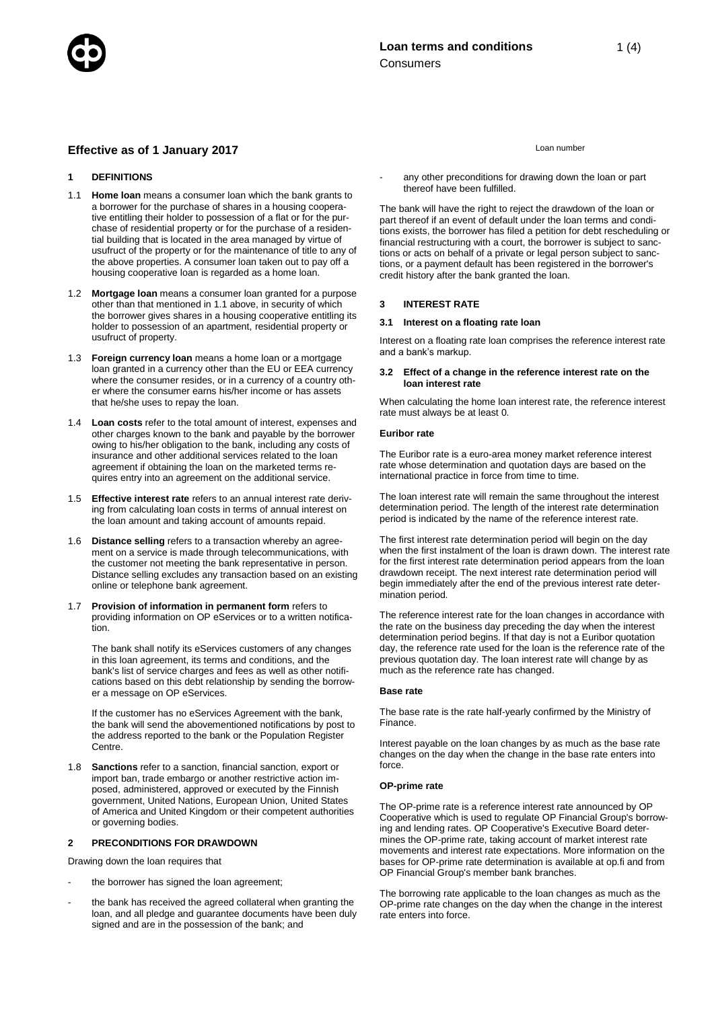# **Effective as of 1 January 2017** Loan number

# **1 DEFINITIONS**

- 1.1 **Home loan** means a consumer loan which the bank grants to a borrower for the purchase of shares in a housing cooperative entitling their holder to possession of a flat or for the purchase of residential property or for the purchase of a residential building that is located in the area managed by virtue of usufruct of the property or for the maintenance of title to any of the above properties. A consumer loan taken out to pay off a housing cooperative loan is regarded as a home loan.
- 1.2 **Mortgage loan** means a consumer loan granted for a purpose other than that mentioned in 1.1 above, in security of which the borrower gives shares in a housing cooperative entitling its holder to possession of an apartment, residential property or usufruct of property.
- 1.3 **Foreign currency loan** means a home loan or a mortgage loan granted in a currency other than the EU or EEA currency where the consumer resides, or in a currency of a country other where the consumer earns his/her income or has assets that he/she uses to repay the loan.
- 1.4 **Loan costs** refer to the total amount of interest, expenses and other charges known to the bank and payable by the borrower owing to his/her obligation to the bank, including any costs of insurance and other additional services related to the loan agreement if obtaining the loan on the marketed terms requires entry into an agreement on the additional service.
- 1.5 **Effective interest rate** refers to an annual interest rate deriving from calculating loan costs in terms of annual interest on the loan amount and taking account of amounts repaid.
- 1.6 **Distance selling** refers to a transaction whereby an agreement on a service is made through telecommunications, with the customer not meeting the bank representative in person. Distance selling excludes any transaction based on an existing online or telephone bank agreement.
- 1.7 **Provision of information in permanent form** refers to providing information on OP eServices or to a written notification.

The bank shall notify its eServices customers of any changes in this loan agreement, its terms and conditions, and the bank's list of service charges and fees as well as other notifications based on this debt relationship by sending the borrower a message on OP eServices.

If the customer has no eServices Agreement with the bank, the bank will send the abovementioned notifications by post to the address reported to the bank or the Population Register Centre.

1.8 **Sanctions** refer to a sanction, financial sanction, export or import ban, trade embargo or another restrictive action imposed, administered, approved or executed by the Finnish government, United Nations, European Union, United States of America and United Kingdom or their competent authorities or governing bodies.

## **2 PRECONDITIONS FOR DRAWDOWN**

Drawing down the loan requires that

- the borrower has signed the loan agreement;
- the bank has received the agreed collateral when granting the loan, and all pledge and guarantee documents have been duly signed and are in the possession of the bank; and

any other preconditions for drawing down the loan or part thereof have been fulfilled.

The bank will have the right to reject the drawdown of the loan or part thereof if an event of default under the loan terms and conditions exists, the borrower has filed a petition for debt rescheduling or financial restructuring with a court, the borrower is subject to sanctions or acts on behalf of a private or legal person subject to sanctions, or a payment default has been registered in the borrower's credit history after the bank granted the loan.

## **3 INTEREST RATE**

## **3.1 Interest on a floating rate loan**

Interest on a floating rate loan comprises the reference interest rate and a bank's markup.

## **3.2 Effect of a change in the reference interest rate on the loan interest rate**

When calculating the home loan interest rate, the reference interest rate must always be at least 0.

#### **Euribor rate**

The Euribor rate is a euro-area money market reference interest rate whose determination and quotation days are based on the international practice in force from time to time.

The loan interest rate will remain the same throughout the interest determination period. The length of the interest rate determination period is indicated by the name of the reference interest rate.

The first interest rate determination period will begin on the day when the first instalment of the loan is drawn down. The interest rate for the first interest rate determination period appears from the loan drawdown receipt. The next interest rate determination period will begin immediately after the end of the previous interest rate determination period.

The reference interest rate for the loan changes in accordance with the rate on the business day preceding the day when the interest determination period begins. If that day is not a Euribor quotation day, the reference rate used for the loan is the reference rate of the previous quotation day. The loan interest rate will change by as much as the reference rate has changed.

#### **Base rate**

The base rate is the rate half-yearly confirmed by the Ministry of Finance.

Interest payable on the loan changes by as much as the base rate changes on the day when the change in the base rate enters into force.

# **OP-prime rate**

The OP-prime rate is a reference interest rate announced by OP Cooperative which is used to regulate OP Financial Group's borrowing and lending rates. OP Cooperative's Executive Board determines the OP-prime rate, taking account of market interest rate movements and interest rate expectations. More information on the bases for OP-prime rate determination is available at op.fi and from OP Financial Group's member bank branches.

The borrowing rate applicable to the loan changes as much as the OP-prime rate changes on the day when the change in the interest rate enters into force.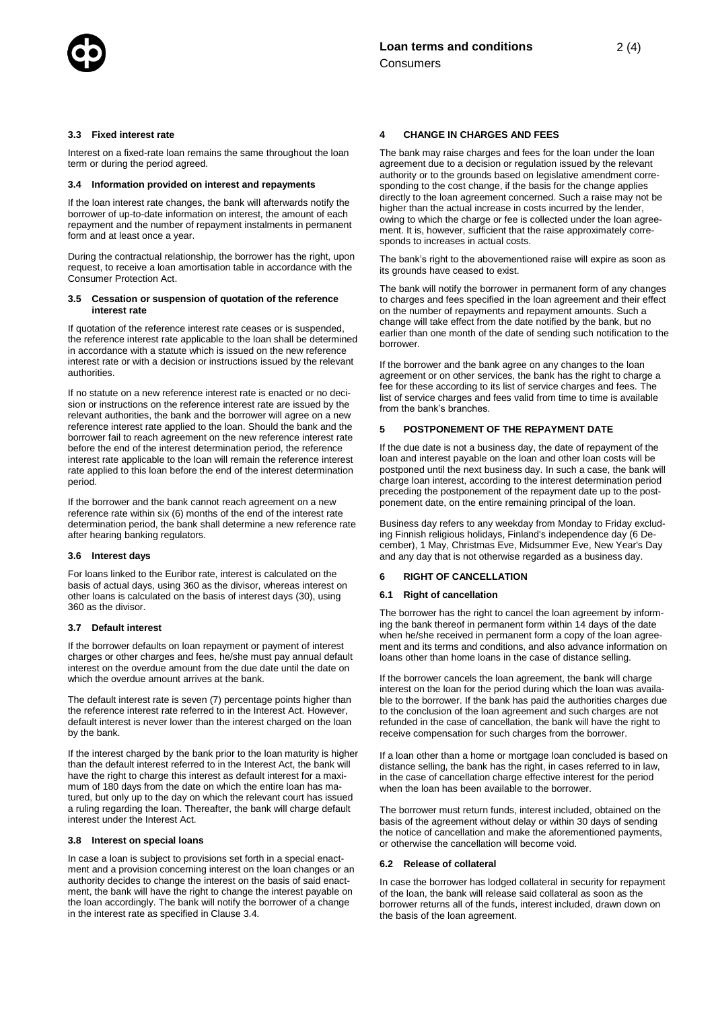

Interest on a fixed-rate loan remains the same throughout the loan term or during the period agreed.

#### **3.4 Information provided on interest and repayments**

If the loan interest rate changes, the bank will afterwards notify the borrower of up-to-date information on interest, the amount of each repayment and the number of repayment instalments in permanent form and at least once a year.

During the contractual relationship, the borrower has the right, upon request, to receive a loan amortisation table in accordance with the Consumer Protection Act.

#### **3.5 Cessation or suspension of quotation of the reference interest rate**

If quotation of the reference interest rate ceases or is suspended, the reference interest rate applicable to the loan shall be determined in accordance with a statute which is issued on the new reference interest rate or with a decision or instructions issued by the relevant authorities.

If no statute on a new reference interest rate is enacted or no decision or instructions on the reference interest rate are issued by the relevant authorities, the bank and the borrower will agree on a new reference interest rate applied to the loan. Should the bank and the borrower fail to reach agreement on the new reference interest rate before the end of the interest determination period, the reference interest rate applicable to the loan will remain the reference interest rate applied to this loan before the end of the interest determination period.

If the borrower and the bank cannot reach agreement on a new reference rate within six (6) months of the end of the interest rate determination period, the bank shall determine a new reference rate after hearing banking regulators.

#### **3.6 Interest days**

For loans linked to the Euribor rate, interest is calculated on the basis of actual days, using 360 as the divisor, whereas interest on other loans is calculated on the basis of interest days (30), using 360 as the divisor.

#### **3.7 Default interest**

If the borrower defaults on loan repayment or payment of interest charges or other charges and fees, he/she must pay annual default interest on the overdue amount from the due date until the date on which the overdue amount arrives at the bank.

The default interest rate is seven (7) percentage points higher than the reference interest rate referred to in the Interest Act. However, default interest is never lower than the interest charged on the loan by the bank.

If the interest charged by the bank prior to the loan maturity is higher than the default interest referred to in the Interest Act, the bank will have the right to charge this interest as default interest for a maximum of 180 days from the date on which the entire loan has matured, but only up to the day on which the relevant court has issued a ruling regarding the loan. Thereafter, the bank will charge default interest under the Interest Act.

## **3.8 Interest on special loans**

In case a loan is subject to provisions set forth in a special enactment and a provision concerning interest on the loan changes or an authority decides to change the interest on the basis of said enactment, the bank will have the right to change the interest payable on the loan accordingly. The bank will notify the borrower of a change in the interest rate as specified in Clause 3.4.

#### **4 CHANGE IN CHARGES AND FEES**

The bank may raise charges and fees for the loan under the loan agreement due to a decision or regulation issued by the relevant authority or to the grounds based on legislative amendment corresponding to the cost change, if the basis for the change applies directly to the loan agreement concerned. Such a raise may not be higher than the actual increase in costs incurred by the lender, owing to which the charge or fee is collected under the loan agreement. It is, however, sufficient that the raise approximately corresponds to increases in actual costs.

The bank's right to the abovementioned raise will expire as soon as its grounds have ceased to exist.

The bank will notify the borrower in permanent form of any changes to charges and fees specified in the loan agreement and their effect on the number of repayments and repayment amounts. Such a change will take effect from the date notified by the bank, but no earlier than one month of the date of sending such notification to the borrower.

If the borrower and the bank agree on any changes to the loan agreement or on other services, the bank has the right to charge a fee for these according to its list of service charges and fees. The list of service charges and fees valid from time to time is available from the bank's branches.

#### **5 POSTPONEMENT OF THE REPAYMENT DATE**

If the due date is not a business day, the date of repayment of the loan and interest payable on the loan and other loan costs will be postponed until the next business day. In such a case, the bank will charge loan interest, according to the interest determination period preceding the postponement of the repayment date up to the postponement date, on the entire remaining principal of the loan.

Business day refers to any weekday from Monday to Friday excluding Finnish religious holidays, Finland's independence day (6 December), 1 May, Christmas Eve, Midsummer Eve, New Year's Day and any day that is not otherwise regarded as a business day.

#### **6 RIGHT OF CANCELLATION**

## **6.1 Right of cancellation**

The borrower has the right to cancel the loan agreement by informing the bank thereof in permanent form within 14 days of the date when he/she received in permanent form a copy of the loan agreement and its terms and conditions, and also advance information on loans other than home loans in the case of distance selling.

If the borrower cancels the loan agreement, the bank will charge interest on the loan for the period during which the loan was available to the borrower. If the bank has paid the authorities charges due to the conclusion of the loan agreement and such charges are not refunded in the case of cancellation, the bank will have the right to receive compensation for such charges from the borrower.

If a loan other than a home or mortgage loan concluded is based on distance selling, the bank has the right, in cases referred to in law, in the case of cancellation charge effective interest for the period when the loan has been available to the borrower.

The borrower must return funds, interest included, obtained on the basis of the agreement without delay or within 30 days of sending the notice of cancellation and make the aforementioned payments, or otherwise the cancellation will become void.

## **6.2 Release of collateral**

In case the borrower has lodged collateral in security for repayment of the loan, the bank will release said collateral as soon as the borrower returns all of the funds, interest included, drawn down on the basis of the loan agreement.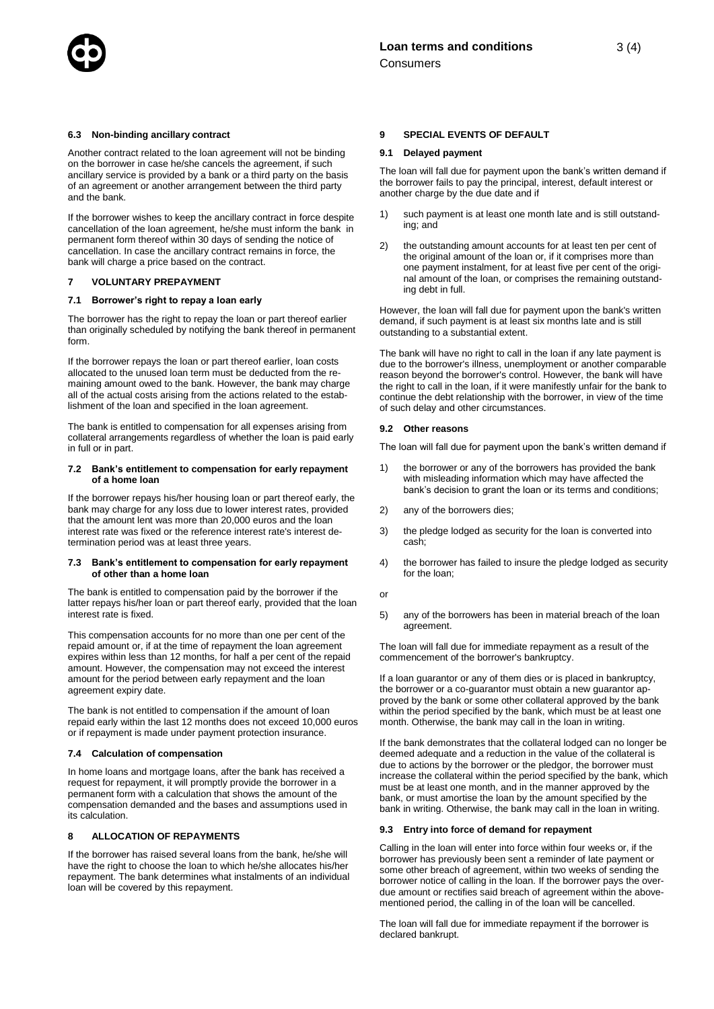

Another contract related to the loan agreement will not be binding on the borrower in case he/she cancels the agreement, if such ancillary service is provided by a bank or a third party on the basis of an agreement or another arrangement between the third party and the bank.

If the borrower wishes to keep the ancillary contract in force despite cancellation of the loan agreement, he/she must inform the bank in permanent form thereof within 30 days of sending the notice of cancellation. In case the ancillary contract remains in force, the bank will charge a price based on the contract.

## **7 VOLUNTARY PREPAYMENT**

## **7.1 Borrower's right to repay a loan early**

The borrower has the right to repay the loan or part thereof earlier than originally scheduled by notifying the bank thereof in permanent form.

If the borrower repays the loan or part thereof earlier, loan costs allocated to the unused loan term must be deducted from the remaining amount owed to the bank. However, the bank may charge all of the actual costs arising from the actions related to the establishment of the loan and specified in the loan agreement.

The bank is entitled to compensation for all expenses arising from collateral arrangements regardless of whether the loan is paid early in full or in part.

#### **7.2 Bank's entitlement to compensation for early repayment of a home loan**

If the borrower repays his/her housing loan or part thereof early, the bank may charge for any loss due to lower interest rates, provided that the amount lent was more than 20,000 euros and the loan interest rate was fixed or the reference interest rate's interest determination period was at least three years.

## **7.3 Bank's entitlement to compensation for early repayment of other than a home loan**

The bank is entitled to compensation paid by the borrower if the latter repays his/her loan or part thereof early, provided that the loan interest rate is fixed.

This compensation accounts for no more than one per cent of the repaid amount or, if at the time of repayment the loan agreement expires within less than 12 months, for half a per cent of the repaid amount. However, the compensation may not exceed the interest amount for the period between early repayment and the loan agreement expiry date.

The bank is not entitled to compensation if the amount of loan repaid early within the last 12 months does not exceed 10,000 euros or if repayment is made under payment protection insurance.

## **7.4 Calculation of compensation**

In home loans and mortgage loans, after the bank has received a request for repayment, it will promptly provide the borrower in a permanent form with a calculation that shows the amount of the compensation demanded and the bases and assumptions used in its calculation.

#### **8 ALLOCATION OF REPAYMENTS**

If the borrower has raised several loans from the bank, he/she will have the right to choose the loan to which he/she allocates his/her repayment. The bank determines what instalments of an individual loan will be covered by this repayment.

#### **9 SPECIAL EVENTS OF DEFAULT**

#### **9.1 Delayed payment**

The loan will fall due for payment upon the bank's written demand if the borrower fails to pay the principal, interest, default interest or another charge by the due date and if

- 1) such payment is at least one month late and is still outstanding; and
- 2) the outstanding amount accounts for at least ten per cent of the original amount of the loan or, if it comprises more than one payment instalment, for at least five per cent of the original amount of the loan, or comprises the remaining outstanding debt in full.

However, the loan will fall due for payment upon the bank's written demand, if such payment is at least six months late and is still outstanding to a substantial extent.

The bank will have no right to call in the loan if any late payment is due to the borrower's illness, unemployment or another comparable reason beyond the borrower's control. However, the bank will have the right to call in the loan, if it were manifestly unfair for the bank to continue the debt relationship with the borrower, in view of the time of such delay and other circumstances.

#### **9.2 Other reasons**

The loan will fall due for payment upon the bank's written demand if

- 1) the borrower or any of the borrowers has provided the bank with misleading information which may have affected the bank's decision to grant the loan or its terms and conditions;
- 2) any of the borrowers dies;
- 3) the pledge lodged as security for the loan is converted into cash;
- 4) the borrower has failed to insure the pledge lodged as security for the loan;
- or
- 5) any of the borrowers has been in material breach of the loan agreement.

The loan will fall due for immediate repayment as a result of the commencement of the borrower's bankruptcy.

If a loan guarantor or any of them dies or is placed in bankruptcy, the borrower or a co-guarantor must obtain a new guarantor approved by the bank or some other collateral approved by the bank within the period specified by the bank, which must be at least one month. Otherwise, the bank may call in the loan in writing.

If the bank demonstrates that the collateral lodged can no longer be deemed adequate and a reduction in the value of the collateral is due to actions by the borrower or the pledgor, the borrower must increase the collateral within the period specified by the bank, which must be at least one month, and in the manner approved by the bank, or must amortise the loan by the amount specified by the bank in writing. Otherwise, the bank may call in the loan in writing.

## **9.3 Entry into force of demand for repayment**

Calling in the loan will enter into force within four weeks or, if the borrower has previously been sent a reminder of late payment or some other breach of agreement, within two weeks of sending the borrower notice of calling in the loan. If the borrower pays the overdue amount or rectifies said breach of agreement within the abovementioned period, the calling in of the loan will be cancelled.

The loan will fall due for immediate repayment if the borrower is declared bankrupt.